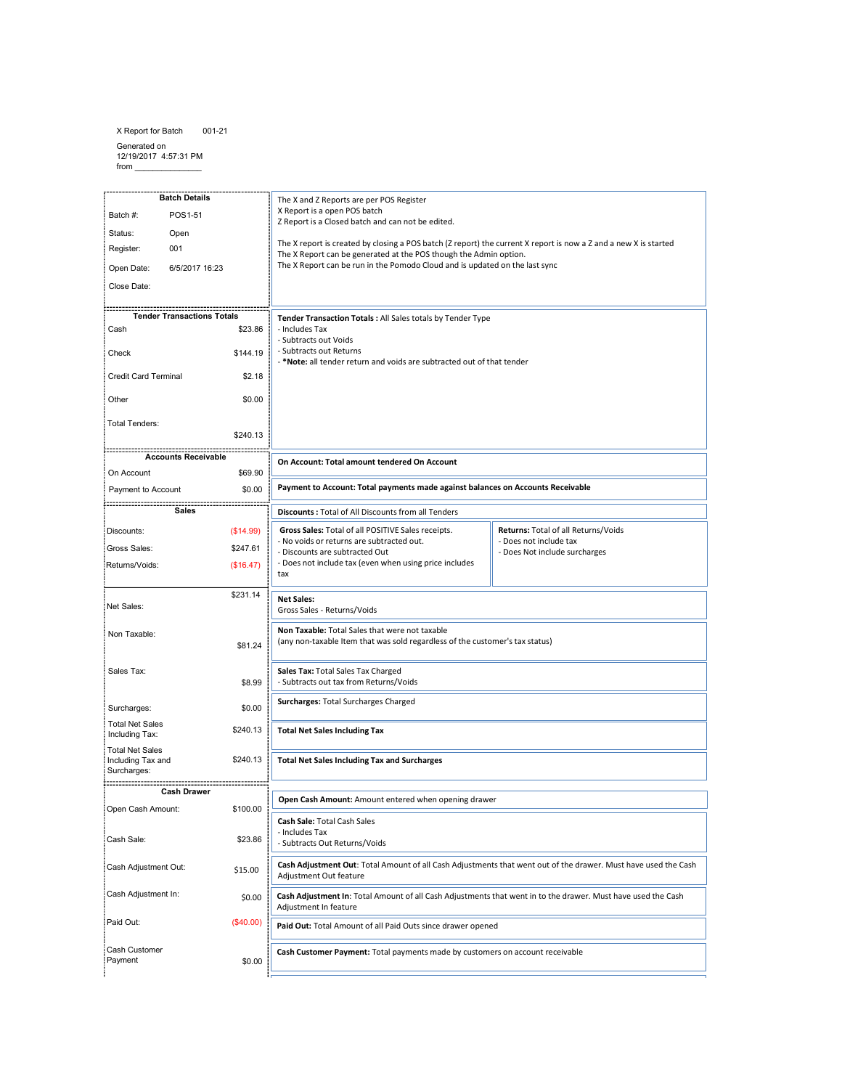X Report for Batch 001-21

Batch Details

Generated on 12/19/2017 4:57:31 PM from \_\_\_\_\_\_\_\_\_\_\_\_\_\_\_

The X and Z Reports are per POS Register<br>X Report is a open POS batch<br>Z Report is a Closed batch and can not be edited.<br>The X report is recard by closing a POS batch (Z report) the current X report is now a Z and a new X i The X and Z Reports are per POS Register<br>2. Report is a open POS backh<br>2. Report is a Glosed batch and can not be edited.<br>The X report is or Goseted by dosing a POS backh (Z report) the current X report is now a Z and a ne The X and Z Reports are per POS Register<br>The X and Z Reports over POS betch<br>2 Report is a Closed batch and can not be edited.<br>The X report is occured by closing a POS batch IZ report) the current X report is now a Z and a The X and Z Reports are per POS Register<br>X Report is a coele 10 Statch<br>
X Report is a colored butch and can not be edited.<br>
The X report is orcored by closing a POS batch (Z report) the current X report is now a Z and a ne The X and Z Reports are per POS Register<br>
X Report is a covert Note that a mate balance against the edition.<br>
The X report C an the generated at the POS though the Action paylor.<br>
The X report C an the generated at the POS The X and Z Reports are per POS Register<br>
The X report is conedible that discounts from and the edited.<br>
The X report is cone to control and area of All Discounts from all the current X report is now a Z and a new X is sta The X and Z Reports are per POS Register<br>K Report is a Goed Dobatch and can not be edited.<br>The X report is considered by closing a POS baseb (2 report the current X report is now a Z and a new X is stanted<br>The X Report can The X and Z Report is a open PrOS back<br>The X Maport is a open POS backh<br>
Z Report is a Glosed backh and can not be slided.<br>
The X Report is a Glosed backh and can not be slided.<br>
The X Report can be generated at the POS th Experiment X report is now a Z and a new X is started<br>option.<br>
the last sync<br>
the distance of the start synchronous<br> **Returns: Total of all Returns/Voids<br>
Returns: Total of all Returns/Voids<br>
Poes not include tax<br>
Does Not** X Report is a open POS batch X Report is a open POS batch<br>
The X report is closed batch and can not be edited.<br>
The X report is created by closing a POS batch (Z report) the current X report is now a 2 and a new X is stanted<br>
The X Report can be gener Eurerant X report is now a Z and a new X is started<br>option.<br>
The last synce<br>
the last synce<br>
surcharges<br>
surcharges<br>
Som Accounts Receivable<br>
Returns: Total of all Returns/Voids<br>
Does Not include tax<br>
Does Not include surc Batch #: POS1-51 Z Report is a Closed batch and can not be edited. 2 Report is a Closed batch and can not be edited.<br>The X Report is created by closing a POS batch (2 report) the current X report is now a 2 and a new X is stanted<br>Track Report can be generated at the POS though the Admin o Status: Open The X report is created by closing a POS batch (Z report) the current X report is now a Z and a new X is started Register: 001 The X Report can be generated at the POS though the Admin option. The X Report can be run in the Pomodo Cloud and is updated on the last sync Open Date: 6/5/2017 16:23 The X Report can be run in the Pomodo Cloud and is updated on the last sync<br>
Tender Transaction Totals : All Sales totals by Tender Type<br>
- Induces Tax<br>
- Subtract cout Woids<br>
- Subtract cout Netions<br>
- Subtract cout Netio Close Date: Tender Transaction Totals : All Sales totals by Temder Type<br>
- Includes Tota<br>
- Subtracts out Neutrins<br>
- Subtracts out Relumns<br>
- Subtracts out Relumns<br>
- Motecular to Account: Total payments made against balances on Acco Tender Transactions Totals Tender Transaction Totals : All Sales totals by Tender Type Cash \$23.86 - Subtracts cout Youlds<br>
- Subtracts out Returns<br>
- Subtracts out Returns<br>
- Modes all tender return and voids are subtracted out of that tender<br>
- Modes all tender returns are usbtracted on.<br>
- Accounts - Total of All Dis Check \$144.19 - \*Note: all tender return and voids are subtracted out of that tender Credit Card Terminal \$2.18 Other \$0.00 Total Tenders: \$240.13 Accounts Receivable On Account: Total amount tendered On Account<br>
Discount: Total of all Discounts formed against balances on Accounts Receivable<br>
Discounts: Total of all Discounts formed against balances on Accounts Receivable<br>
No Nordiscont On Account: Total amount tendered On Account On Account \$69.90 Payment to Account: Total payments made against balances on Accounts Receivable<br>
Discounts : Total of All Discounts from all Tenders<br>
Choos Sales: Total Of all PicoSITVice Sales: receipts.<br>
- No voids or returns are subtra Payment to Account \$0.00 Payment to Account: Total payments made against balances on Accounts Receivable<br>Discounts : Total of All Discounts from all Tenders<br>
Agos Sales : Total of All Discounts from all Tenders<br>
- New Sales : Total of All of Harms Discounts : Total of All Discounts from all Tenders<br> **Gross Sales:** Total of All Discounts from all Tenders<br>
- No voids or returns are subtracted out.<br>
- No voids or returns are subtracted out.<br>
- Discs not include tax (ev Sales Gross Sales: Total of all Postiny Easter receipts.<br>
Chocausts are subtracted Out: <sup>1946</sup> Out.<br>
Chocausts are subtracted Out: <sup>1946</sup> Out.<br>
Chocaust are subtracted out of out.<br>
The Design Amount of all Cash Cash Asia Chocaus Discounts: (\$14.99) Gross Sales: \$247.61 - Discursit, are subtracted Oat<br>
- Does not include tax (even when using price includes<br>
- The Sales:<br>
Net Sales: Total Sales Total Sales Total West were not travalie<br>
Net Sales: Total Sales Total Cash Must were not traval Returns/Voids: (\$16.47) \$231.14 Net Sales:<br>Gross Sales - Returns/Voids Net Sales: Non Taxable: (any non-taxable Item that was sold regardless of the customer's tax status) \$81.24 Sales Tax: Sales Tax: Total Sales Tax Charged<br>- Subtracts out tax from Returns/Voids \$8.99 Surcharges: Total Surcharges Charged Surcharges: \$0.00 Total Net Sales Including Tax: \$240.13 Total Net Sales Including Tax Total Net Sales Including Tax and \$240.13 Total Net Sales Including Tax and Surcharges Surcharges: ................. ...................... Cash Drawer Open Cash Amount: \$100.00 Cash Sale: \$23.86 Cash Adjustment Out: \$15.00 Adjustment Out feature Cash Adjustment In:  $$0.00$ Adjustment In featurePaid Out: (\$40.00) Paid Out: Total Amount of all Paid Outs since drawer opened Cash Customer Cash Customer Payment: Total payments made by customers on account receivable Payment \$0.00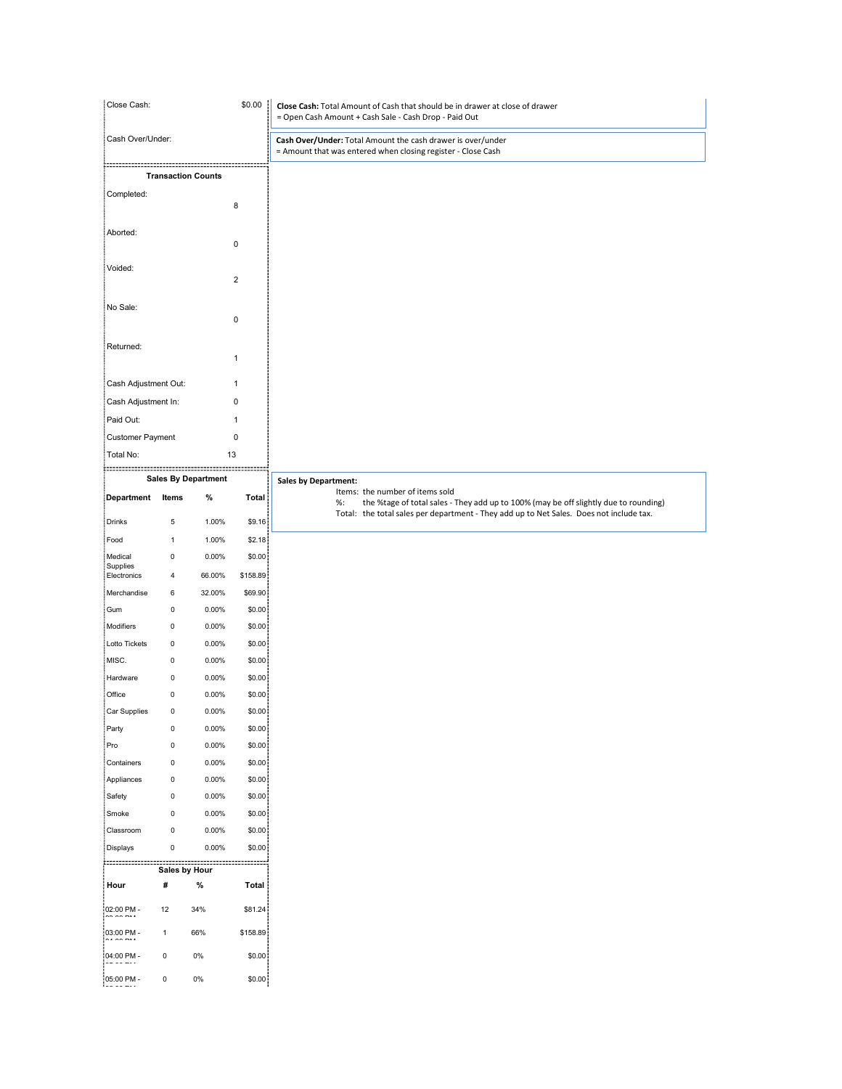| Close Cash:<br>\$0.00         |                            |                                                     |                           | Close Cash: Total Amount of Cash that should be in drawer at close of drawer<br>= Open Cash Amount + Cash Sale - Cash Drop - Paid Out                                                 |
|-------------------------------|----------------------------|-----------------------------------------------------|---------------------------|---------------------------------------------------------------------------------------------------------------------------------------------------------------------------------------|
| Cash Over/Under:              |                            |                                                     |                           | Cash Over/Under: Total Amount the cash drawer is over/under<br>= Amount that was entered when closing register - Close Cash                                                           |
|                               |                            | ::::::::::::::::::::::<br><b>Transaction Counts</b> |                           |                                                                                                                                                                                       |
| Completed:                    |                            |                                                     | 8                         |                                                                                                                                                                                       |
| Aborted:                      |                            |                                                     | $\pmb{0}$                 |                                                                                                                                                                                       |
| Voided:                       |                            |                                                     |                           |                                                                                                                                                                                       |
|                               |                            |                                                     | $\overline{2}$            |                                                                                                                                                                                       |
| No Sale:                      |                            |                                                     | $\pmb{0}$                 |                                                                                                                                                                                       |
| Returned:                     |                            |                                                     | $\mathbf{1}$              |                                                                                                                                                                                       |
| Cash Adjustment Out:          |                            |                                                     | $\mathbf{1}$              |                                                                                                                                                                                       |
| Cash Adjustment In:           |                            |                                                     | $\pmb{0}$                 |                                                                                                                                                                                       |
| Paid Out:<br>Customer Payment |                            |                                                     | $\mathbf{1}$<br>$\pmb{0}$ |                                                                                                                                                                                       |
| Total No:                     |                            | 13                                                  |                           |                                                                                                                                                                                       |
| Department Items              |                            | <b>Sales By Department</b><br>%                     | Total                     | <b>Sales by Department:</b><br>Items: the number of items sold                                                                                                                        |
| Drinks                        | $\overline{5}$             | 1.00%                                               | \$9.16                    | the %tage of total sales - They add up to 100% (may be off slightly due to rounding)<br>%:<br>Total: the total sales per department - They add up to Net Sales. Does not include tax. |
| Food                          | $\mathbf{1}$               | 1.00%                                               | \$2.18                    |                                                                                                                                                                                       |
| Medical<br>Supplies           | $\mathsf{O}$               | $0.00\%$                                            | \$0.00                    |                                                                                                                                                                                       |
| Electronics<br>Merchandise    | $\overline{4}$<br>6        | 66.00%<br>32.00%                                    | \$158.89<br>\$69.90       |                                                                                                                                                                                       |
| : Gum                         | $\mathsf{O}$               | $0.00\%$                                            | \$0.00                    |                                                                                                                                                                                       |
|                               | $\mathbf 0$                | $0.00\%$                                            | \$0.00                    |                                                                                                                                                                                       |
| Modifiers                     | $\mathbf 0$                | $0.00\%$<br>$0.00\%$                                | \$0.00<br>\$0.00          |                                                                                                                                                                                       |
| Lotto Tickets<br>MISC.        | $\mathbf 0$                | $0.00\%$                                            | \$0.00                    |                                                                                                                                                                                       |
| Hardware                      | $\mathsf 0$                |                                                     | \$0.00                    |                                                                                                                                                                                       |
| Office                        | $\mathsf{O}$               | $0.00\%$                                            |                           |                                                                                                                                                                                       |
| Car Supplies                  | $\mathsf{O}$               | $0.00\%$                                            | \$0.00                    |                                                                                                                                                                                       |
| Party<br>Pro                  | $\mathbf 0$<br>$\mathsf 0$ | $0.00\%$<br>$0.00\%$                                | \$0.00<br>\$0.00          |                                                                                                                                                                                       |
| Containers                    | $\mathsf 0$                | $0.00\%$                                            | \$0.00                    |                                                                                                                                                                                       |
| Appliances                    | $\mathsf{O}$               | $0.00\%$                                            | \$0.00                    |                                                                                                                                                                                       |
| Safety                        | $\mathbf 0$                | $0.00\%$                                            | \$0.00                    |                                                                                                                                                                                       |
| : Smoke<br>Classroom          | $\mathsf 0$<br>$\mathsf 0$ | $0.00\%$<br>$0.00\%$                                | \$0.00<br>\$0.00          |                                                                                                                                                                                       |
| Displays                      | $\mathbf 0$                | $0.00\%$                                            | \$0.00                    |                                                                                                                                                                                       |
| }::::::::::::::::::::         | Sales by Hour              | ::::::::::::::::::::::::::::                        |                           |                                                                                                                                                                                       |
| Hour                          | #                          | %                                                   | Total                     |                                                                                                                                                                                       |
| 02:00 PM -<br>$-1$            | 12                         | 34%                                                 | \$81.24                   |                                                                                                                                                                                       |
| 03:00 PM -                    | $\overline{1}$             | 66%                                                 | \$158.89                  |                                                                                                                                                                                       |
| 04:00 PM -<br>05:00 PM -      | 0<br>$\mathbf 0$           | 0%<br>0%                                            | \$0.00<br>\$0.00          |                                                                                                                                                                                       |